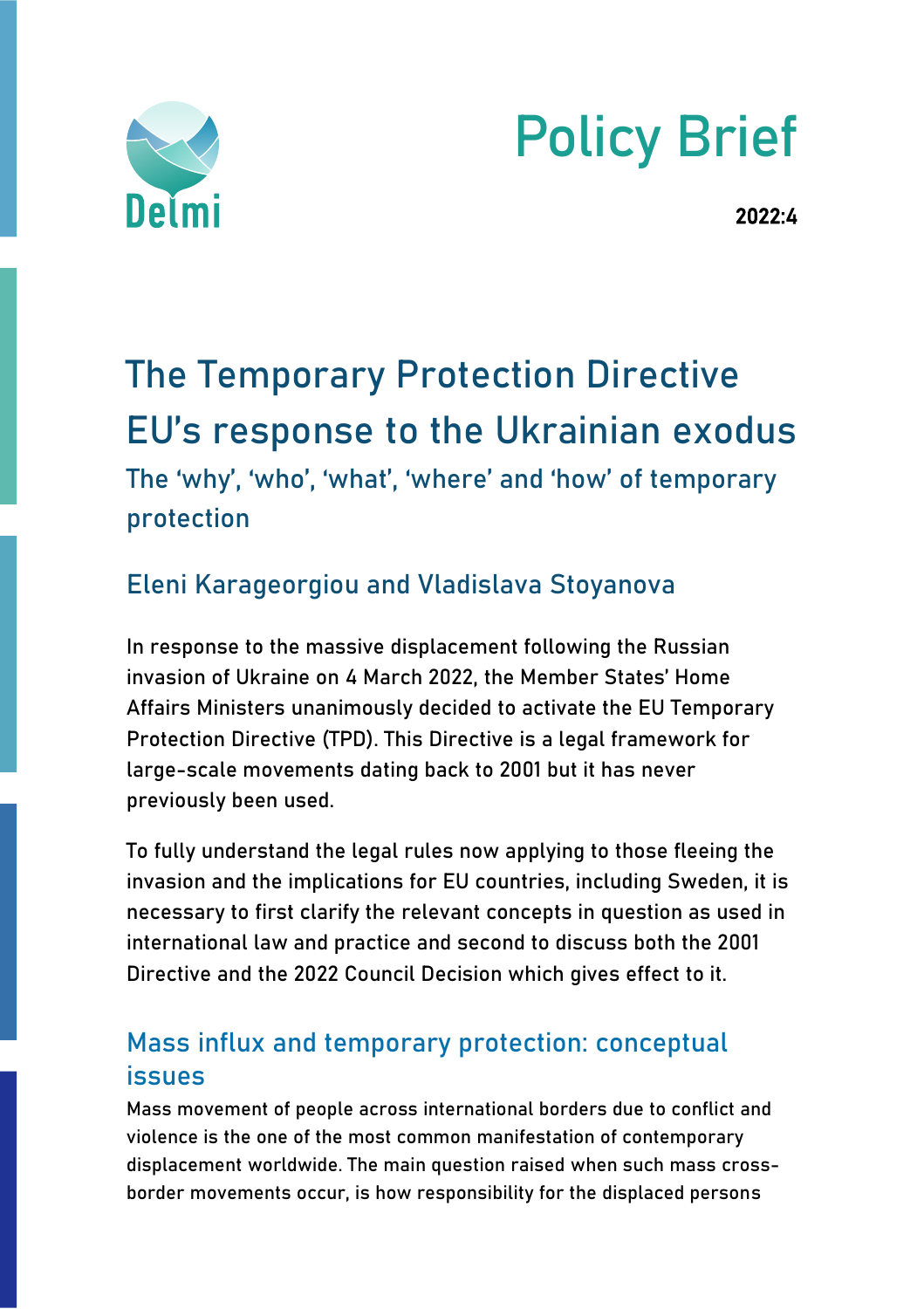

# Policy Brief

2022:4

## The Temporary Protection Directive EU's response to the Ukrainian exodus The 'why', 'who', 'what', 'where' and 'how' of temporary protection

## Eleni Karageorgiou and Vladislava Stoyanova

In response to the massive displacement following the Russian invasion of Ukraine on 4 March 2022, the Member States' Home Affairs Ministers unanimously decided to activate the EU Temporary Protection Directive (TPD). This Directive is a legal framework for large-scale movements dating back to 2001 but it has never previously been used.

To fully understand the legal rules now applying to those fleeing the invasion and the implications for EU countries, including Sweden, it is necessary to first clarify the relevant concepts in question as used in international law and practice and second to discuss both the 2001 Directive and the 2022 Council Decision which gives effect to it.

## Mass influx and temporary protection: conceptual issues

Mass movement of people across international borders due to conflict and violence is the one of the most common manifestation of contemporary displacement worldwide. The main question raised when such mass crossborder movements occur, is how responsibility for the displaced persons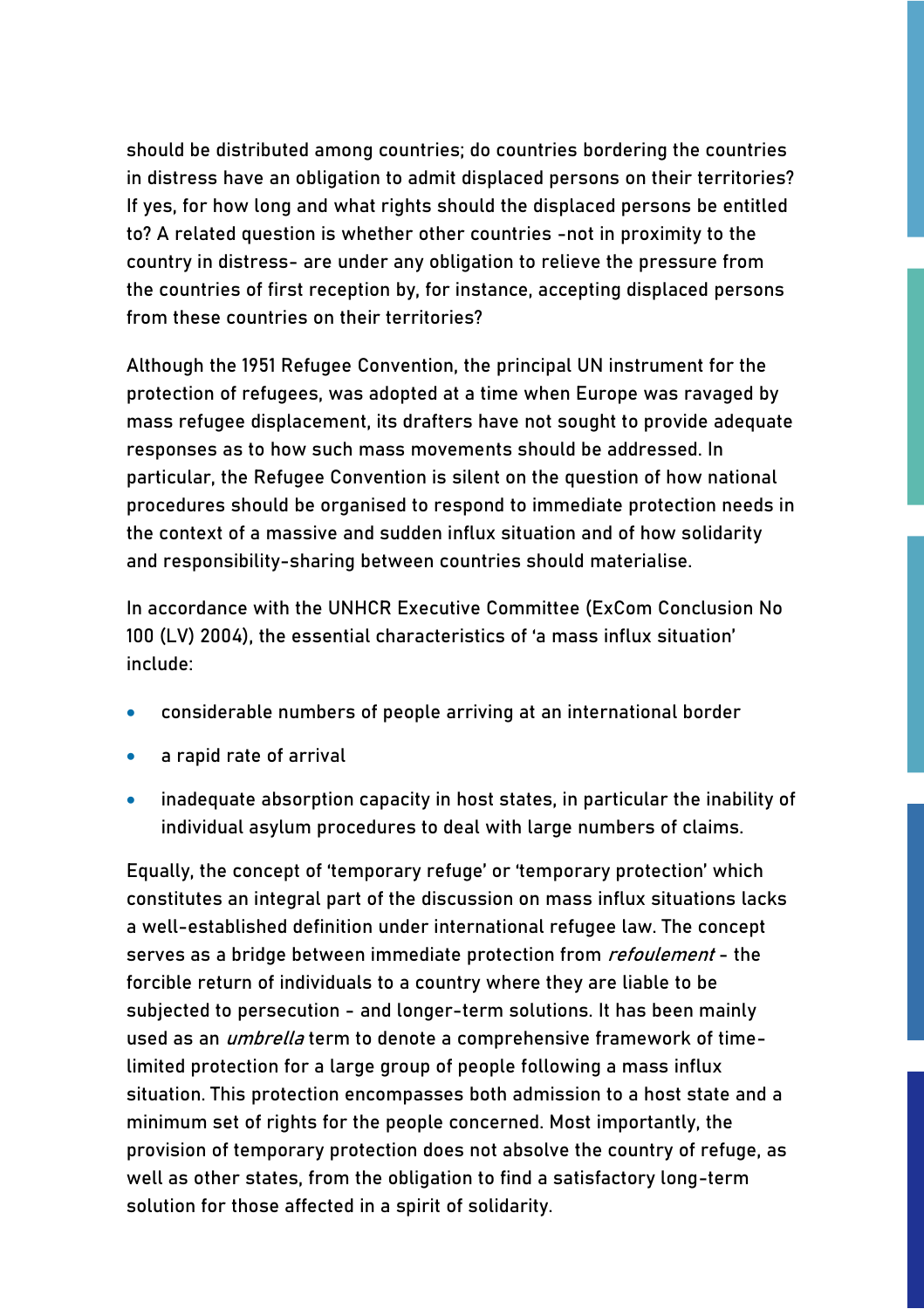should be distributed among countries; do countries bordering the countries in distress have an obligation to admit displaced persons on their territories? If yes, for how long and what rights should the displaced persons be entitled to? A related question is whether other countries -not in proximity to the country in distress- are under any obligation to relieve the pressure from the countries of first reception by, for instance, accepting displaced persons from these countries on their territories?

Although the 1951 Refugee Convention, the principal UN instrument for the protection of refugees, was adopted at a time when Europe was ravaged by mass refugee displacement, its drafters have not sought to provide adequate responses as to how such mass movements should be addressed. In particular, the Refugee Convention is silent on the question of how national procedures should be organised to respond to immediate protection needs in the context of a massive and sudden influx situation and of how solidarity and responsibility-sharing between countries should materialise.

In accordance with the UNHCR Executive Committee (ExCom Conclusion No 100 (LV) 2004), the essential characteristics of 'a mass influx situation' include:

- considerable numbers of people arriving at an international border
- a rapid rate of arrival
- inadequate absorption capacity in host states, in particular the inability of individual asylum procedures to deal with large numbers of claims.

Equally, the concept of 'temporary refuge' or 'temporary protection' which constitutes an integral part of the discussion on mass influx situations lacks a well-established definition under international refugee law. The concept serves as a bridge between immediate protection from *refoulement* - the forcible return of individuals to a country where they are liable to be subjected to persecution - and longer-term solutions. It has been mainly used as an *umbrella* term to denote a comprehensive framework of timelimited protection for a large group of people following a mass influx situation. This protection encompasses both admission to a host state and a minimum set of rights for the people concerned. Most importantly, the provision of temporary protection does not absolve the country of refuge, as well as other states, from the obligation to find a satisfactory long-term solution for those affected in a spirit of solidarity.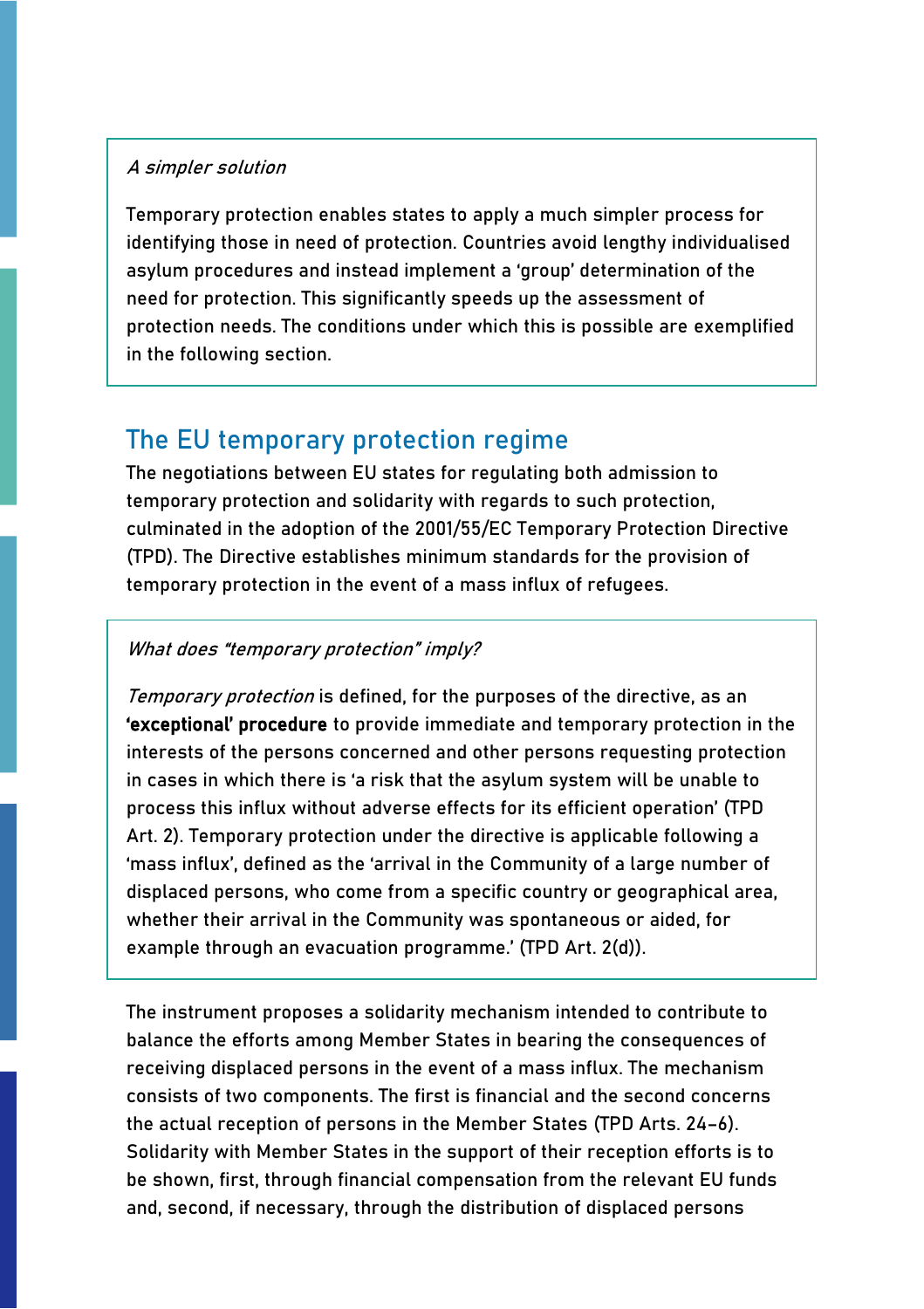#### A simpler solution

Temporary protection enables states to apply a much simpler process for identifying those in need of protection. Countries avoid lengthy individualised asylum procedures and instead implement a 'group' determination of the need for protection. This significantly speeds up the assessment of protection needs. The conditions under which this is possible are exemplified in the following section.

## The EU temporary protection regime

The negotiations between EU states for regulating both admission to temporary protection and solidarity with regards to such protection, culminated in the adoption of the 2001/55/EC Temporary Protection Directive (TPD). The Directive establishes minimum standards for the provision of temporary protection in the event of a mass influx of refugees.

#### What does "temporary protection" imply?

Temporary protection is defined, for the purposes of the directive, as an 'exceptional' procedure to provide immediate and temporary protection in the interests of the persons concerned and other persons requesting protection in cases in which there is 'a risk that the asylum system will be unable to process this influx without adverse effects for its efficient operation' (TPD Art. 2). Temporary protection under the directive is applicable following a 'mass influx', defined as the 'arrival in the Community of a large number of displaced persons, who come from a specific country or geographical area, whether their arrival in the Community was spontaneous or aided, for example through an evacuation programme.' (TPD Art. 2(d)).

The instrument proposes a solidarity mechanism intended to contribute to balance the efforts among Member States in bearing the consequences of receiving displaced persons in the event of a mass influx. The mechanism consists of two components. The first is financial and the second concerns the actual reception of persons in the Member States (TPD Arts. 24–6). Solidarity with Member States in the support of their reception efforts is to be shown, first, through financial compensation from the relevant EU funds and, second, if necessary, through the distribution of displaced persons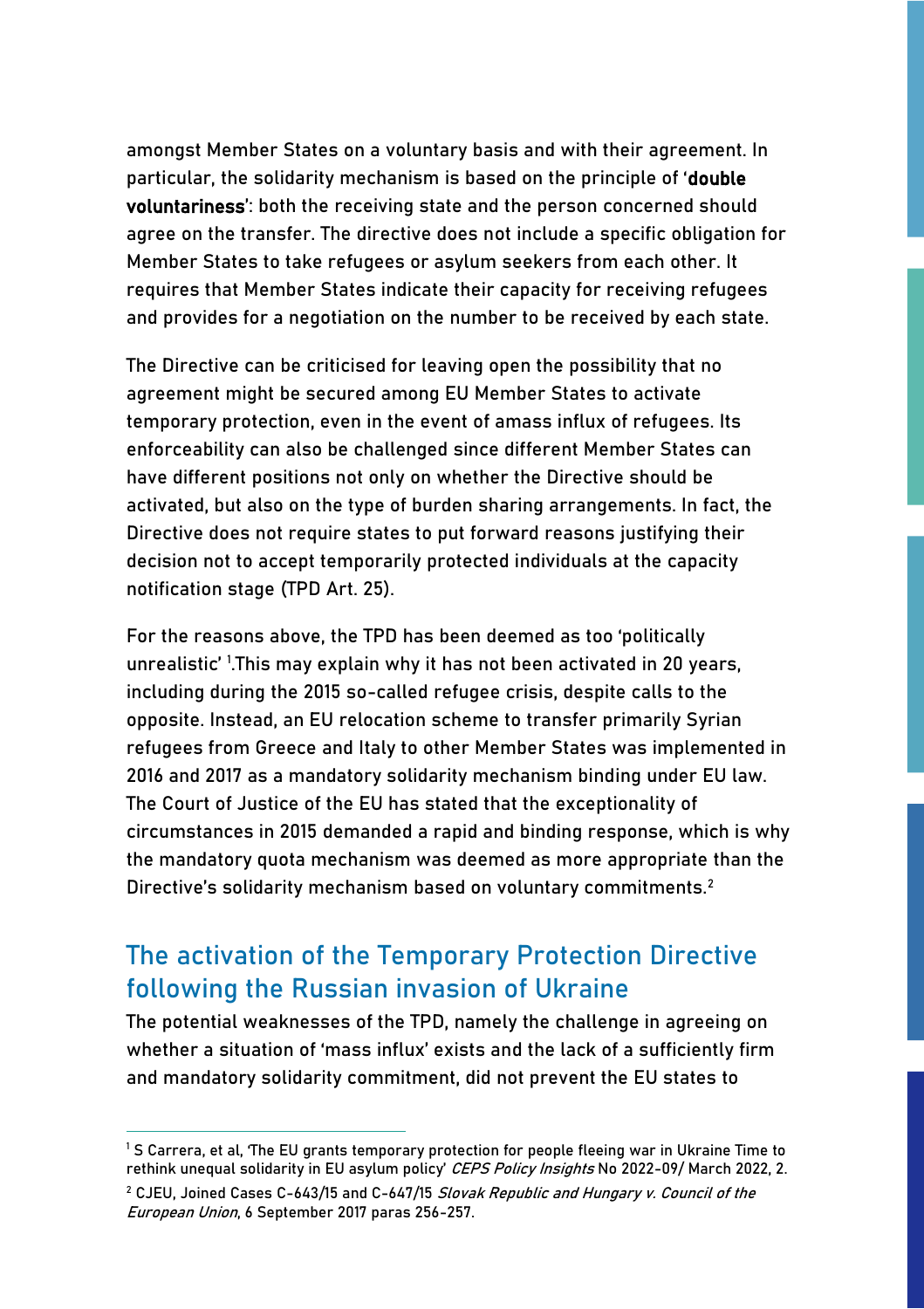amongst Member States on a voluntary basis and with their agreement. In particular, the solidarity mechanism is based on the principle of 'double voluntariness': both the receiving state and the person concerned should agree on the transfer. The directive does not include a specific obligation for Member States to take refugees or asylum seekers from each other. It requires that Member States indicate their capacity for receiving refugees and provides for a negotiation on the number to be received by each state.

The Directive can be criticised for leaving open the possibility that no agreement might be secured among EU Member States to activate temporary protection, even in the event of amass influx of refugees. Its enforceability can also be challenged since different Member States can have different positions not only on whether the Directive should be activated, but also on the type of burden sharing arrangements. In fact, the Directive does not require states to put forward reasons justifying their decision not to accept temporarily protected individuals at the capacity notification stage (TPD Art. 25).

For the reasons above, the TPD has been deemed as too 'politically unrealistic' <sup>1</sup>. This may explain why it has not been activated in 20 years, including during the 2015 so-called refugee crisis, despite calls to the opposite. Instead, an EU relocation scheme to transfer primarily Syrian refugees from Greece and Italy to other Member States was implemented in 2016 and 2017 as a mandatory solidarity mechanism binding under EU law. The Court of Justice of the EU has stated that the exceptionality of circumstances in 2015 demanded a rapid and binding response, which is why the mandatory quota mechanism was deemed as more appropriate than the Directive's solidarity mechanism based on voluntary commitments.<sup>2</sup>

## The activation of the Temporary Protection Directive following the Russian invasion of Ukraine

The potential weaknesses of the TPD, namely the challenge in agreeing on whether a situation of 'mass influx' exists and the lack of a sufficiently firm and mandatory solidarity commitment, did not prevent the EU states to

<sup>&</sup>lt;sup>1</sup> S Carrera, et al, 'The EU grants temporary protection for people fleeing war in Ukraine Time to rethink unequal solidarity in EU asylum policy' CEPS Policy Insights No 2022-09/ March 2022, 2.

 $2$  CJEU, Joined Cases C-643/15 and C-647/15 Slovak Republic and Hungary v. Council of the European Union, 6 September 2017 paras 256-257.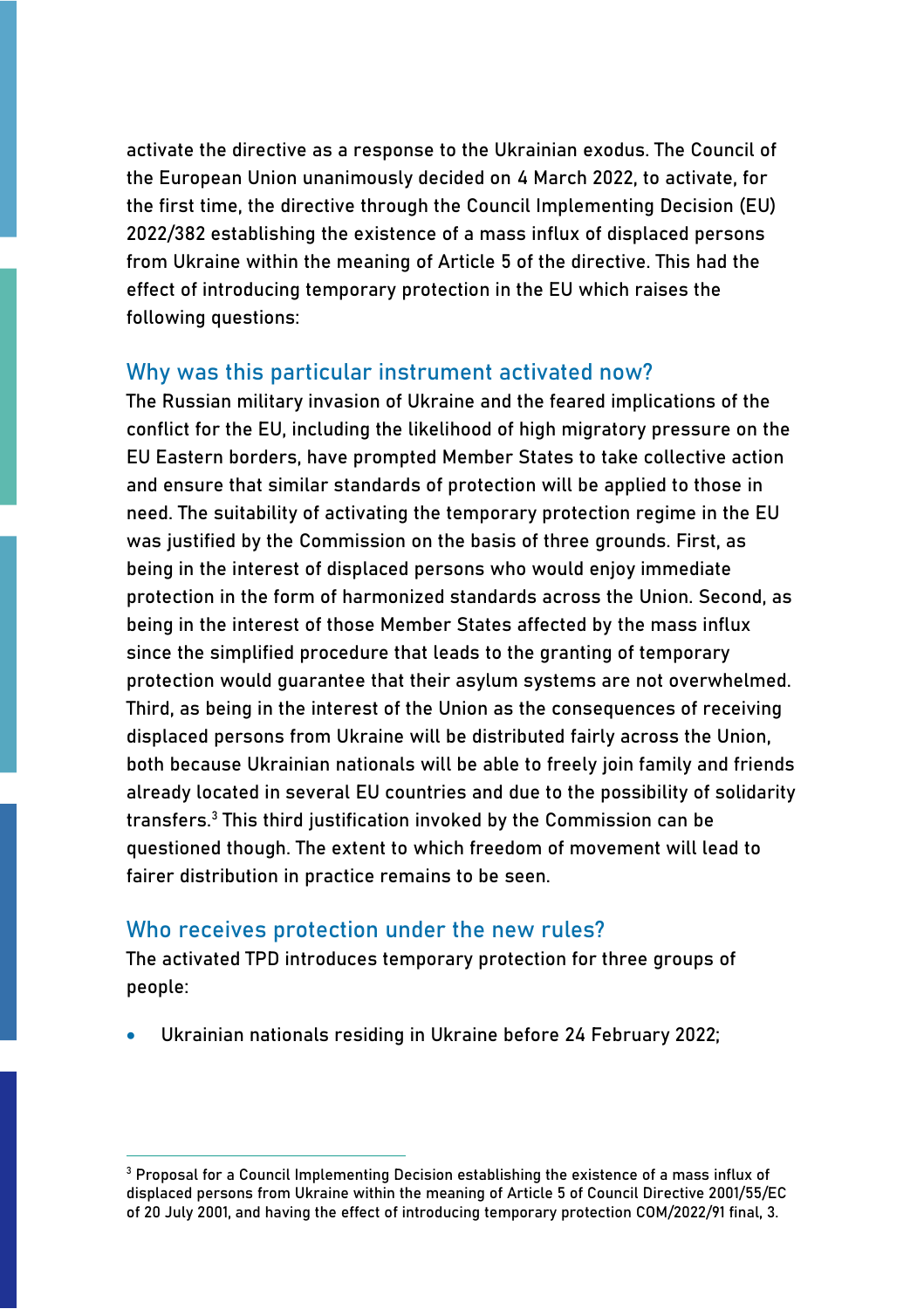activate the directive as a response to the Ukrainian exodus. The Council of the European Union unanimously decided on 4 March 2022, to activate, for the first time, the directive through the Council Implementing Decision (EU) 2022/382 establishing the existence of a mass influx of displaced persons from Ukraine within the meaning of Article 5 of the directive. This had the effect of introducing temporary protection in the EU which raises the following questions:

#### Why was this particular instrument activated now?

The Russian military invasion of Ukraine and the feared implications of the conflict for the EU, including the likelihood of high migratory pressure on the EU Eastern borders, have prompted Member States to take collective action and ensure that similar standards of protection will be applied to those in need. The suitability of activating the temporary protection regime in the EU was justified by the Commission on the basis of three grounds. First, as being in the interest of displaced persons who would enjoy immediate protection in the form of harmonized standards across the Union. Second, as being in the interest of those Member States affected by the mass influx since the simplified procedure that leads to the granting of temporary protection would guarantee that their asylum systems are not overwhelmed. Third, as being in the interest of the Union as the consequences of receiving displaced persons from Ukraine will be distributed fairly across the Union, both because Ukrainian nationals will be able to freely join family and friends already located in several EU countries and due to the possibility of solidarity transfers.<sup>3</sup> This third justification invoked by the Commission can be questioned though. The extent to which freedom of movement will lead to fairer distribution in practice remains to be seen.

#### Who receives protection under the new rules?

The activated TPD introduces temporary protection for three groups of people:

• Ukrainian nationals residing in Ukraine before 24 February 2022;

 $3$  Proposal for a Council Implementing Decision establishing the existence of a mass influx of displaced persons from Ukraine within the meaning of Article 5 of Council Directive 2001/55/EC of 20 July 2001, and having the effect of introducing temporary protection COM/2022/91 final, 3.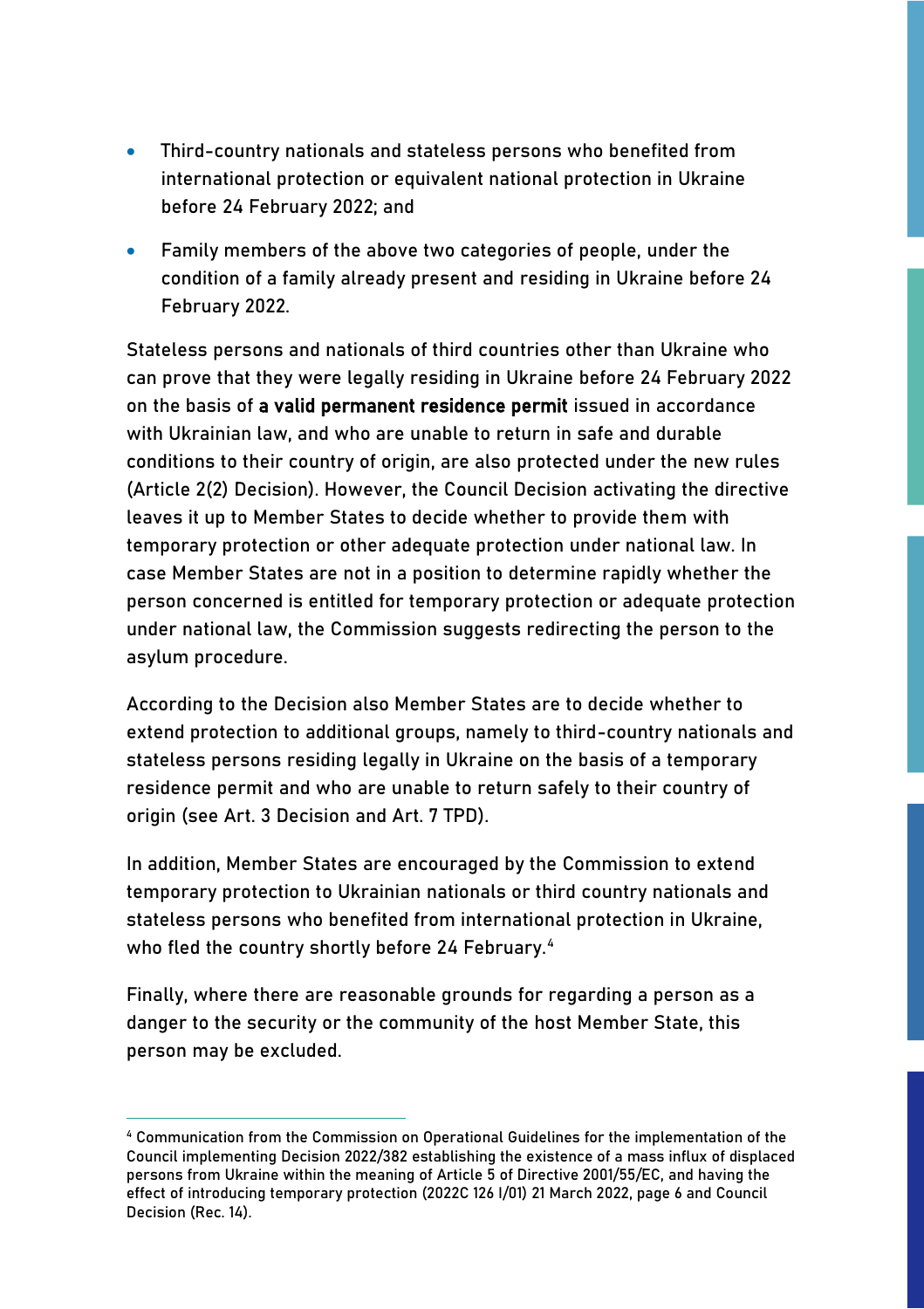- Third-country nationals and stateless persons who benefited from international protection or equivalent national protection in Ukraine before 24 February 2022; and
- Family members of the above two categories of people, under the condition of a family already present and residing in Ukraine before 24 February 2022.

Stateless persons and nationals of third countries other than Ukraine who can prove that they were legally residing in Ukraine before 24 February 2022 on the basis of a valid permanent residence permit issued in accordance with Ukrainian law, and who are unable to return in safe and durable conditions to their country of origin, are also protected under the new rules (Article 2(2) Decision). However, the Council Decision activating the directive leaves it up to Member States to decide whether to provide them with temporary protection or other adequate protection under national law. In case Member States are not in a position to determine rapidly whether the person concerned is entitled for temporary protection or adequate protection under national law, the Commission suggests redirecting the person to the asylum procedure.

According to the Decision also Member States are to decide whether to extend protection to additional groups, namely to third-country nationals and stateless persons residing legally in Ukraine on the basis of a temporary residence permit and who are unable to return safely to their country of origin (see Art. 3 Decision and Art. 7 TPD).

In addition, Member States are encouraged by the Commission to extend temporary protection to Ukrainian nationals or third country nationals and stateless persons who benefited from international protection in Ukraine, who fled the country shortly before 24 February.<sup>4</sup>

Finally, where there are reasonable grounds for regarding a person as a danger to the security or the community of the host Member State, this person may be excluded.

<sup>4</sup> Communication from the Commission on Operational Guidelines for the implementation of the Council implementing Decision 2022/382 establishing the existence of a mass influx of displaced persons from Ukraine within the meaning of Article 5 of Directive 2001/55/EC, and having the effect of introducing temporary protection (2022C 126 I/01) 21 March 2022, page 6 and Council Decision (Rec. 14).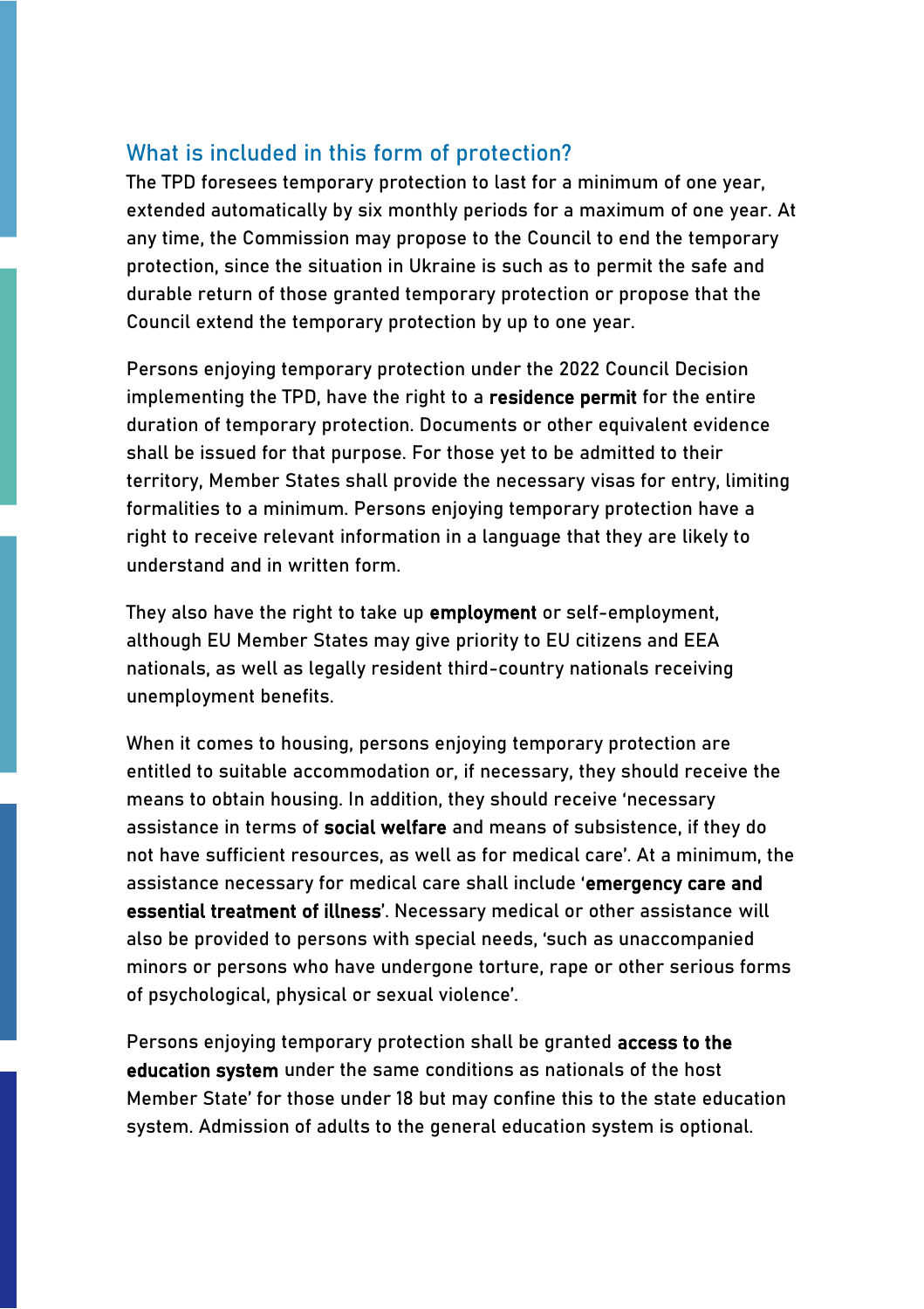#### What is included in this form of protection?

The TPD foresees temporary protection to last for a minimum of one year, extended automatically by six monthly periods for a maximum of one year. At any time, the Commission may propose to the Council to end the temporary protection, since the situation in Ukraine is such as to permit the safe and durable return of those granted temporary protection or propose that the Council extend the temporary protection by up to one year.

Persons enjoying temporary protection under the 2022 Council Decision implementing the TPD, have the right to a residence permit for the entire duration of temporary protection. Documents or other equivalent evidence shall be issued for that purpose. For those yet to be admitted to their territory, Member States shall provide the necessary visas for entry, limiting formalities to a minimum. Persons enjoying temporary protection have a right to receive relevant information in a language that they are likely to understand and in written form.

They also have the right to take up employment or self-employment, although EU Member States may give priority to EU citizens and EEA nationals, as well as legally resident third-country nationals receiving unemployment benefits.

When it comes to housing, persons enjoying temporary protection are entitled to suitable accommodation or, if necessary, they should receive the means to obtain housing. In addition, they should receive 'necessary assistance in terms of social welfare and means of subsistence, if they do not have sufficient resources, as well as for medical care'. At a minimum, the assistance necessary for medical care shall include 'emergency care and essential treatment of illness'. Necessary medical or other assistance will also be provided to persons with special needs, 'such as unaccompanied minors or persons who have undergone torture, rape or other serious forms of psychological, physical or sexual violence'.

Persons enjoying temporary protection shall be granted access to the education system under the same conditions as nationals of the host Member State' for those under 18 but may confine this to the state education system. Admission of adults to the general education system is optional.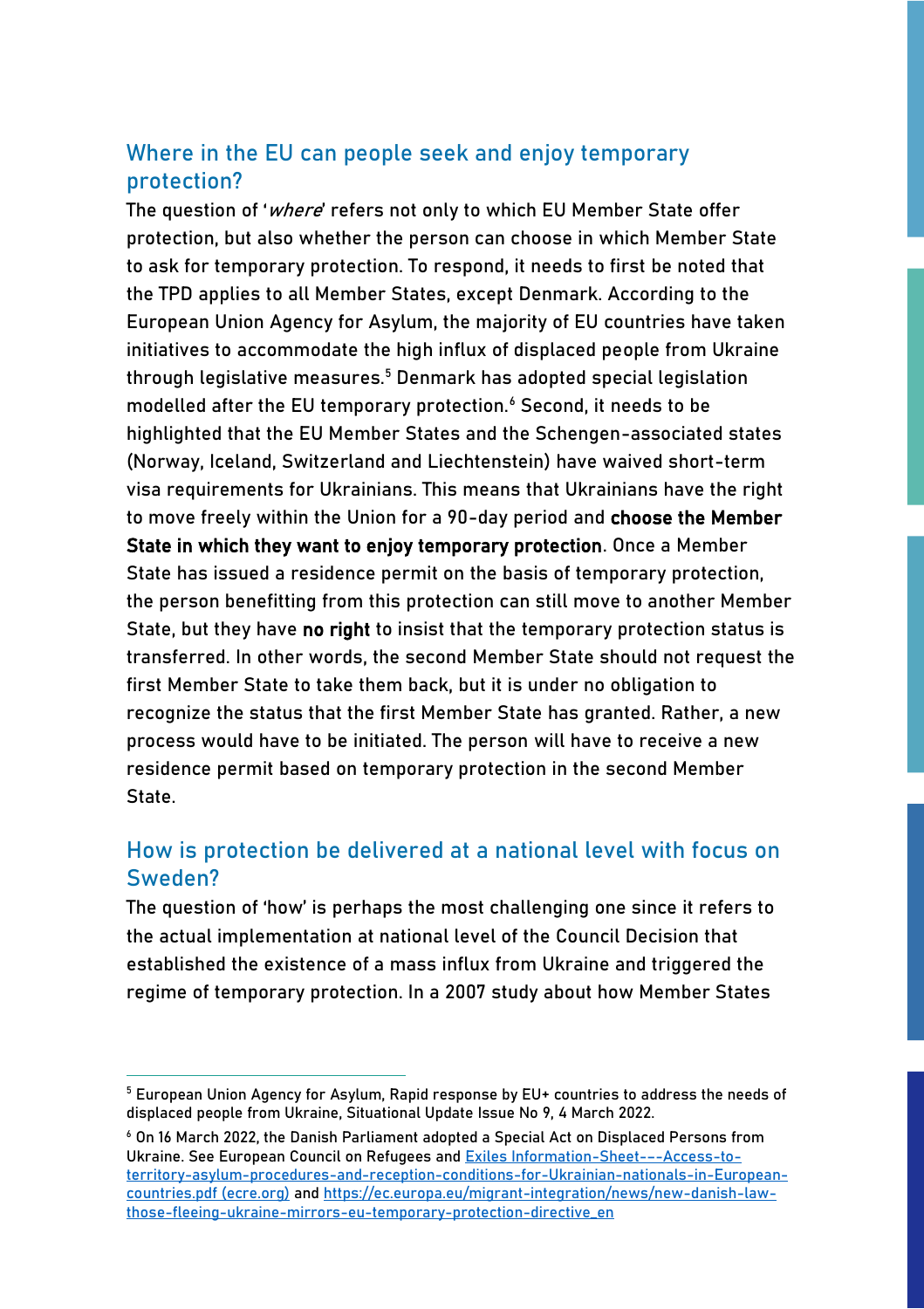#### Where in the EU can people seek and enjoy temporary protection?

The question of 'where' refers not only to which EU Member State offer protection, but also whether the person can choose in which Member State to ask for temporary protection. To respond, it needs to first be noted that the TPD applies to all Member States, except Denmark. According to the European Union Agency for Asylum, the majority of EU countries have taken initiatives to accommodate the high influx of displaced people from Ukraine through legislative measures.<sup>5</sup> Denmark has adopted special legislation modelled after the EU temporary protection.<sup>6</sup> Second, it needs to be highlighted that the EU Member States and the Schengen-associated states (Norway, Iceland, Switzerland and Liechtenstein) have waived short-term visa requirements for Ukrainians. This means that Ukrainians have the right to move freely within the Union for a 90-day period and choose the Member State in which they want to enjoy temporary protection. Once a Member State has issued a residence permit on the basis of temporary protection, the person benefitting from this protection can still move to another Member State, but they have no right to insist that the temporary protection status is transferred. In other words, the second Member State should not request the first Member State to take them back, but it is under no obligation to recognize the status that the first Member State has granted. Rather, a new process would have to be initiated. The person will have to receive a new residence permit based on temporary protection in the second Member State.

#### How is protection be delivered at a national level with focus on Sweden?

The question of 'how' is perhaps the most challenging one since it refers to the actual implementation at national level of the Council Decision that established the existence of a mass influx from Ukraine and triggered the regime of temporary protection. In a 2007 study about how Member States

 $5$  European Union Agency for Asylum, Rapid response by EU+ countries to address the needs of displaced people from Ukraine, Situational Update Issue No 9, 4 March 2022.

<sup>6</sup> On 16 March 2022, the Danish Parliament adopted a Special Act on Displaced Persons from Ukraine. See European Council on Refugees and [Exiles Information-Sheet-](https://ecre.org/wp-content/uploads/2022/03/Information-Sheet-%E2%80%93-Access-to-territory-asylum-procedures-and-reception-conditions-for-Ukrainian-nationals-in-European-countries.pdf)–-Access-to[territory-asylum-procedures-and-reception-conditions-for-Ukrainian-nationals-in-European](https://ecre.org/wp-content/uploads/2022/03/Information-Sheet-%E2%80%93-Access-to-territory-asylum-procedures-and-reception-conditions-for-Ukrainian-nationals-in-European-countries.pdf)[countries.pdf \(ecre.org\)](https://ecre.org/wp-content/uploads/2022/03/Information-Sheet-%E2%80%93-Access-to-territory-asylum-procedures-and-reception-conditions-for-Ukrainian-nationals-in-European-countries.pdf) an[d https://ec.europa.eu/migrant-integration/news/new-danish-law](https://ec.europa.eu/migrant-integration/news/new-danish-law-those-fleeing-ukraine-mirrors-eu-temporary-protection-directive_en)[those-fleeing-ukraine-mirrors-eu-temporary-protection-directive\\_en](https://ec.europa.eu/migrant-integration/news/new-danish-law-those-fleeing-ukraine-mirrors-eu-temporary-protection-directive_en)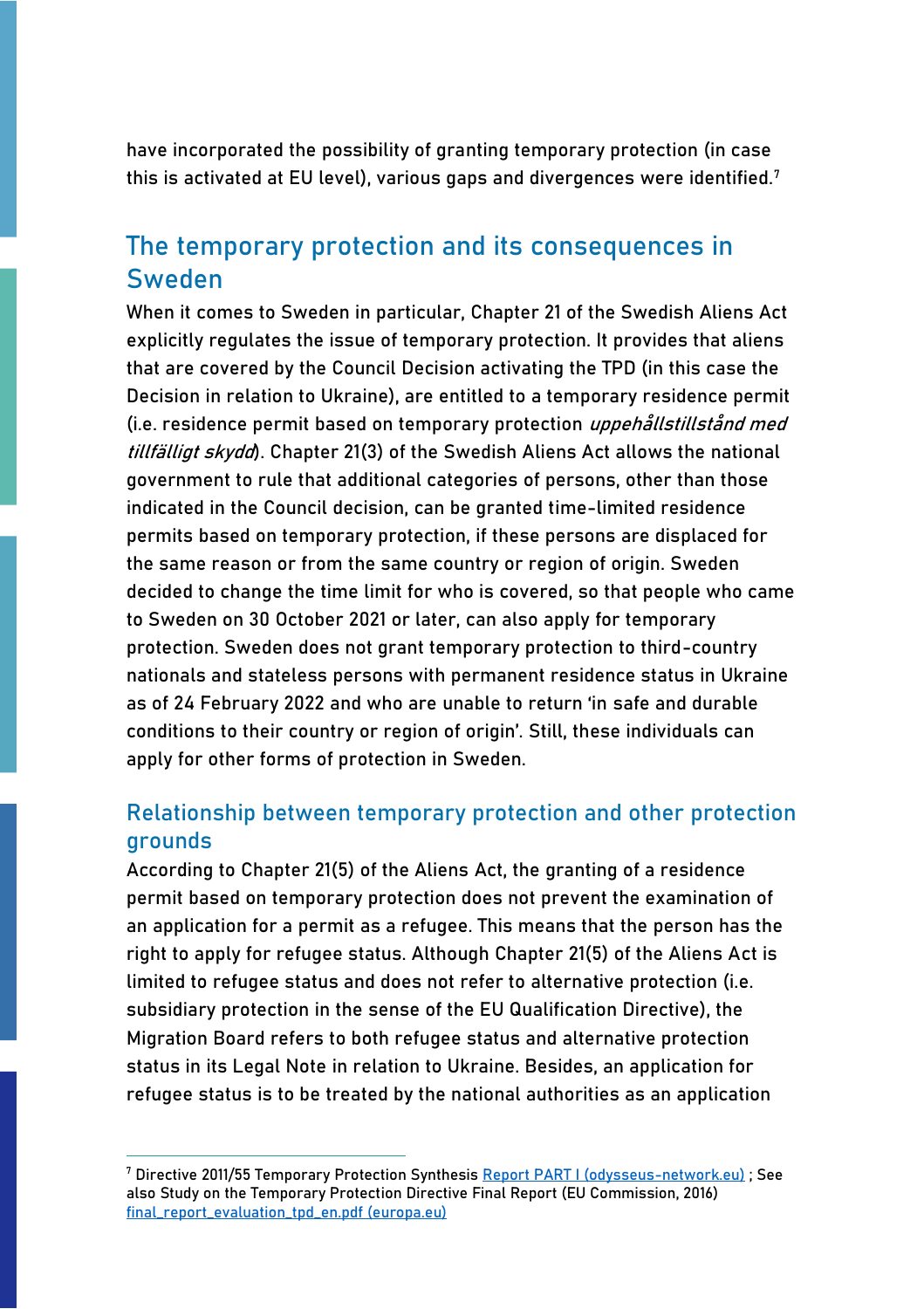have incorporated the possibility of granting temporary protection (in case this is activated at EU level), various gaps and divergences were identified.<sup>7</sup>

### The temporary protection and its consequences in Sweden

When it comes to Sweden in particular, Chapter 21 of the Swedish Aliens Act explicitly regulates the issue of temporary protection. It provides that aliens that are covered by the Council Decision activating the TPD (in this case the Decision in relation to Ukraine), are entitled to a temporary residence permit (i.e. residence permit based on temporary protection uppehållstillstånd med tillfälligt skydd). Chapter 21(3) of the Swedish Aliens Act allows the national government to rule that additional categories of persons, other than those indicated in the Council decision, can be granted time-limited residence permits based on temporary protection, if these persons are displaced for the same reason or from the same country or region of origin. Sweden decided to change the time limit for who is covered, so that people who came to Sweden on 30 October 2021 or later, can also apply for temporary protection. Sweden does not grant temporary protection to third-country nationals and stateless persons with permanent residence status in Ukraine as of 24 February 2022 and who are unable to return 'in safe and durable conditions to their country or region of origin'. Still, these individuals can apply for other forms of protection in Sweden.

#### Relationship between temporary protection and other protection grounds

According to Chapter 21(5) of the Aliens Act, the granting of a residence permit based on temporary protection does not prevent the examination of an application for a permit as a refugee. This means that the person has the right to apply for refugee status. Although Chapter 21(5) of the Aliens Act is limited to refugee status and does not refer to alternative protection (i.e. subsidiary protection in the sense of the EU Qualification Directive), the Migration Board refers to both refugee status and alternative protection status in its Legal Note in relation to Ukraine. Besides, an application for refugee status is to be treated by the national authorities as an application

<sup>7</sup> Directive 2011/55 Temporary Protection Synthesi[s Report PART I \(odysseus-network.eu\)](https://odysseus-network.eu/wp-content/uploads/2015/03/2001-55-Temporary-Protection-Synthesis.pdf) ; See also Study on the Temporary Protection Directive Final Report (EU Commission, 2016) [final\\_report\\_evaluation\\_tpd\\_en.pdf \(europa.eu\)](https://ec.europa.eu/home-affairs/system/files/2020-09/final_report_evaluation_tpd_en.pdf)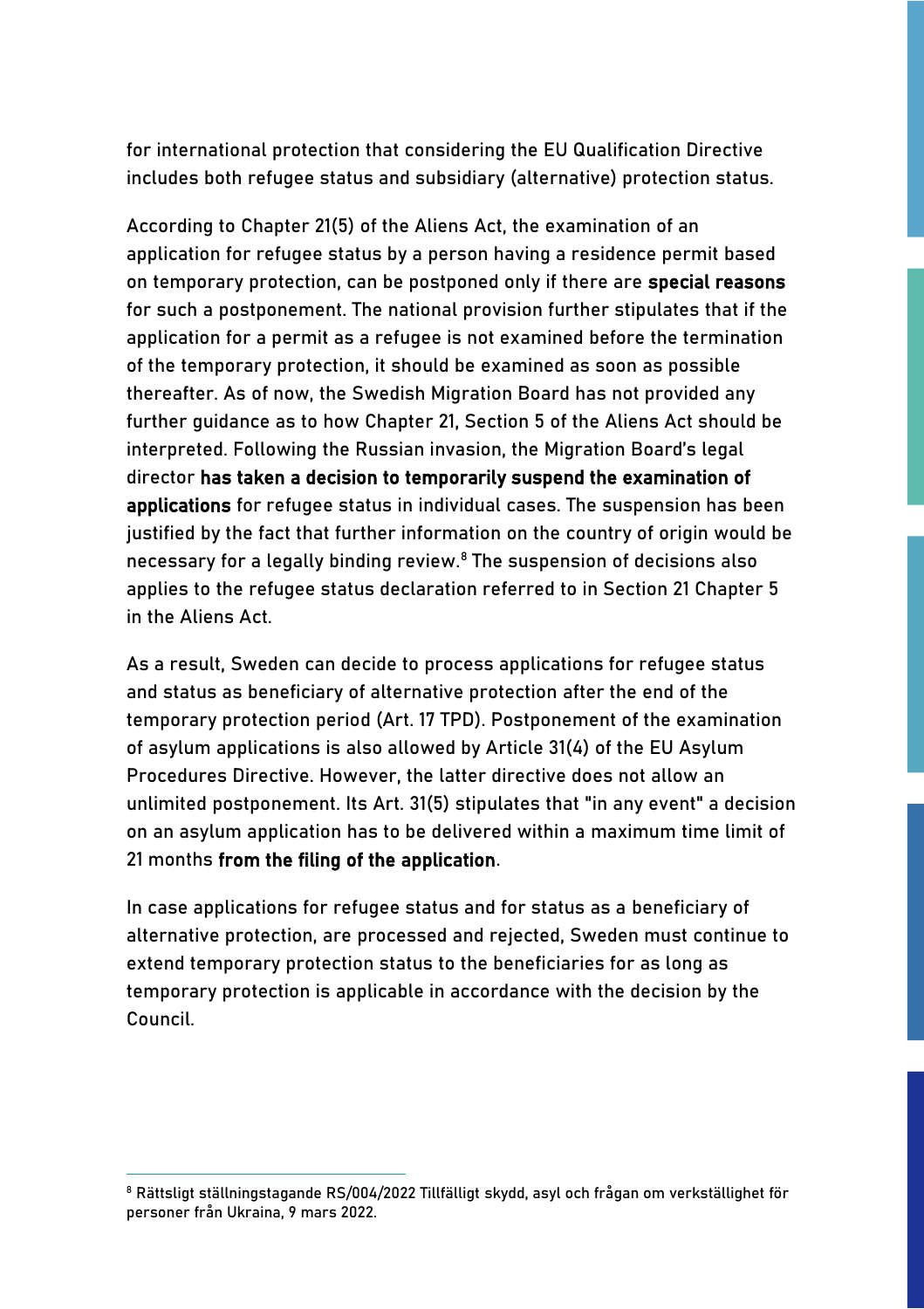for international protection that considering the EU Qualification Directive includes both refugee status and subsidiary (alternative) protection status.

According to Chapter 21(5) of the Aliens Act, the examination of an application for refugee status by a person having a residence permit based on temporary protection, can be postponed only if there are special reasons for such a postponement. The national provision further stipulates that if the application for a permit as a refugee is not examined before the termination of the temporary protection, it should be examined as soon as possible thereafter. As of now, the Swedish Migration Board has not provided any further guidance as to how Chapter 21, Section 5 of the Aliens Act should be interpreted. Following the Russian invasion, the Migration Board's legal director has taken a decision to temporarily suspend the examination of applications for refugee status in individual cases. The suspension has been justified by the fact that further information on the country of origin would be necessary for a legally binding review.<sup>8</sup> The suspension of decisions also applies to the refugee status declaration referred to in Section 21 Chapter 5 in the Aliens Act.

As a result, Sweden can decide to process applications for refugee status and status as beneficiary of alternative protection after the end of the temporary protection period (Art. 17 TPD). Postponement of the examination of asylum applications is also allowed by Article 31(4) of the EU Asylum Procedures Directive. However, the latter directive does not allow an unlimited postponement. Its Art. 31(5) stipulates that "in any event" a decision on an asylum application has to be delivered within a maximum time limit of 21 months from the filing of the application.

In case applications for refugee status and for status as a beneficiary of alternative protection, are processed and rejected, Sweden must continue to extend temporary protection status to the beneficiaries for as long as temporary protection is applicable in accordance with the decision by the Council.

<sup>8</sup> Rättsligt ställningstagande RS/004/2022 Tillfälligt skydd, asyl och frågan om verkställighet för personer från Ukraina, 9 mars 2022.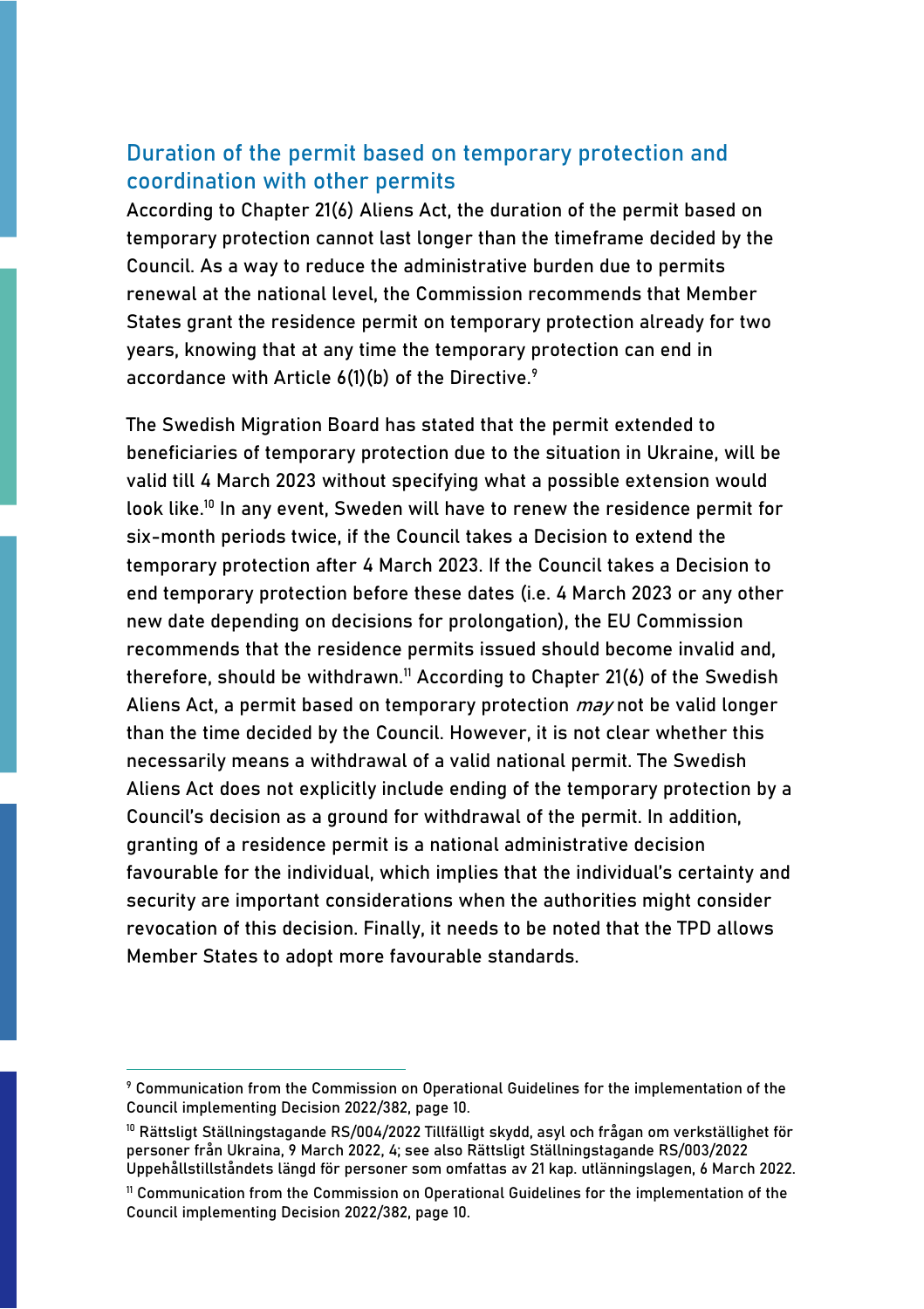#### Duration of the permit based on temporary protection and coordination with other permits

According to Chapter 21(6) Aliens Act, the duration of the permit based on temporary protection cannot last longer than the timeframe decided by the Council. As a way to reduce the administrative burden due to permits renewal at the national level, the Commission recommends that Member States grant the residence permit on temporary protection already for two years, knowing that at any time the temporary protection can end in accordance with Article 6(1)(b) of the Directive.<sup>9</sup>

The Swedish Migration Board has stated that the permit extended to beneficiaries of temporary protection due to the situation in Ukraine, will be valid till 4 March 2023 without specifying what a possible extension would look like.<sup>10</sup> In any event, Sweden will have to renew the residence permit for six-month periods twice, if the Council takes a Decision to extend the temporary protection after 4 March 2023. If the Council takes a Decision to end temporary protection before these dates (i.e. 4 March 2023 or any other new date depending on decisions for prolongation), the EU Commission recommends that the residence permits issued should become invalid and, therefore, should be withdrawn.<sup>11</sup> According to Chapter 21(6) of the Swedish Aliens Act, a permit based on temporary protection *may* not be valid longer than the time decided by the Council. However, it is not clear whether this necessarily means a withdrawal of a valid national permit. The Swedish Aliens Act does not explicitly include ending of the temporary protection by a Council's decision as a ground for withdrawal of the permit. In addition, granting of a residence permit is a national administrative decision favourable for the individual, which implies that the individual's certainty and security are important considerations when the authorities might consider revocation of this decision. Finally, it needs to be noted that the TPD allows Member States to adopt more favourable standards.

<sup>9</sup> Communication from the Commission on Operational Guidelines for the implementation of the Council implementing Decision 2022/382, page 10.

<sup>10</sup> Rättsligt Ställningstagande RS/004/2022 Tillfälligt skydd, asyl och frågan om verkställighet för personer från Ukraina, 9 March 2022, 4; see also Rättsligt Ställningstagande RS/003/2022 Uppehållstillståndets längd för personer som omfattas av 21 kap. utlänningslagen, 6 March 2022.

<sup>11</sup> Communication from the Commission on Operational Guidelines for the implementation of the Council implementing Decision 2022/382, page 10.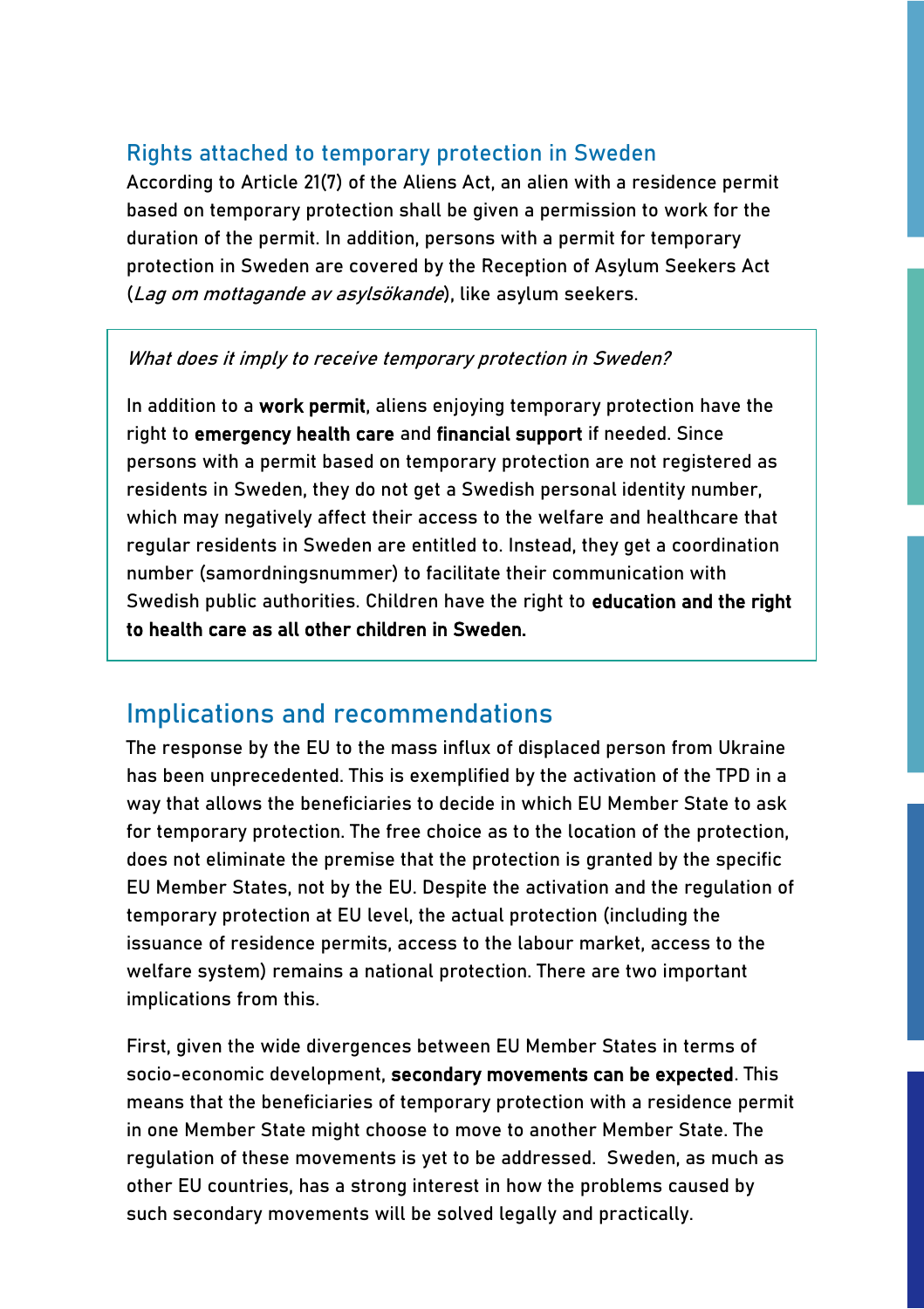#### Rights attached to temporary protection in Sweden

According to Article 21(7) of the Aliens Act, an alien with a residence permit based on temporary protection shall be given a permission to work for the duration of the permit. In addition, persons with a permit for temporary protection in Sweden are covered by the Reception of Asylum Seekers Act (Lag om mottagande av asylsökande), like asylum seekers.

#### What does it imply to receive temporary protection in Sweden?

In addition to a work permit, aliens enjoying temporary protection have the right to emergency health care and financial support if needed. Since persons with a permit based on temporary protection are not registered as residents in Sweden, they do not get a Swedish personal identity number, which may negatively affect their access to the welfare and healthcare that regular residents in Sweden are entitled to. Instead, they get a coordination number (samordningsnummer) to facilitate their communication with Swedish public authorities. Children have the right to education and the right to health care as all other children in Sweden.

#### Implications and recommendations

The response by the EU to the mass influx of displaced person from Ukraine has been unprecedented. This is exemplified by the activation of the TPD in a way that allows the beneficiaries to decide in which EU Member State to ask for temporary protection. The free choice as to the location of the protection, does not eliminate the premise that the protection is granted by the specific EU Member States, not by the EU. Despite the activation and the regulation of temporary protection at EU level, the actual protection (including the issuance of residence permits, access to the labour market, access to the welfare system) remains a national protection. There are two important implications from this.

First, given the wide divergences between EU Member States in terms of socio-economic development, secondary movements can be expected. This means that the beneficiaries of temporary protection with a residence permit in one Member State might choose to move to another Member State. The regulation of these movements is yet to be addressed. Sweden, as much as other EU countries, has a strong interest in how the problems caused by such secondary movements will be solved legally and practically.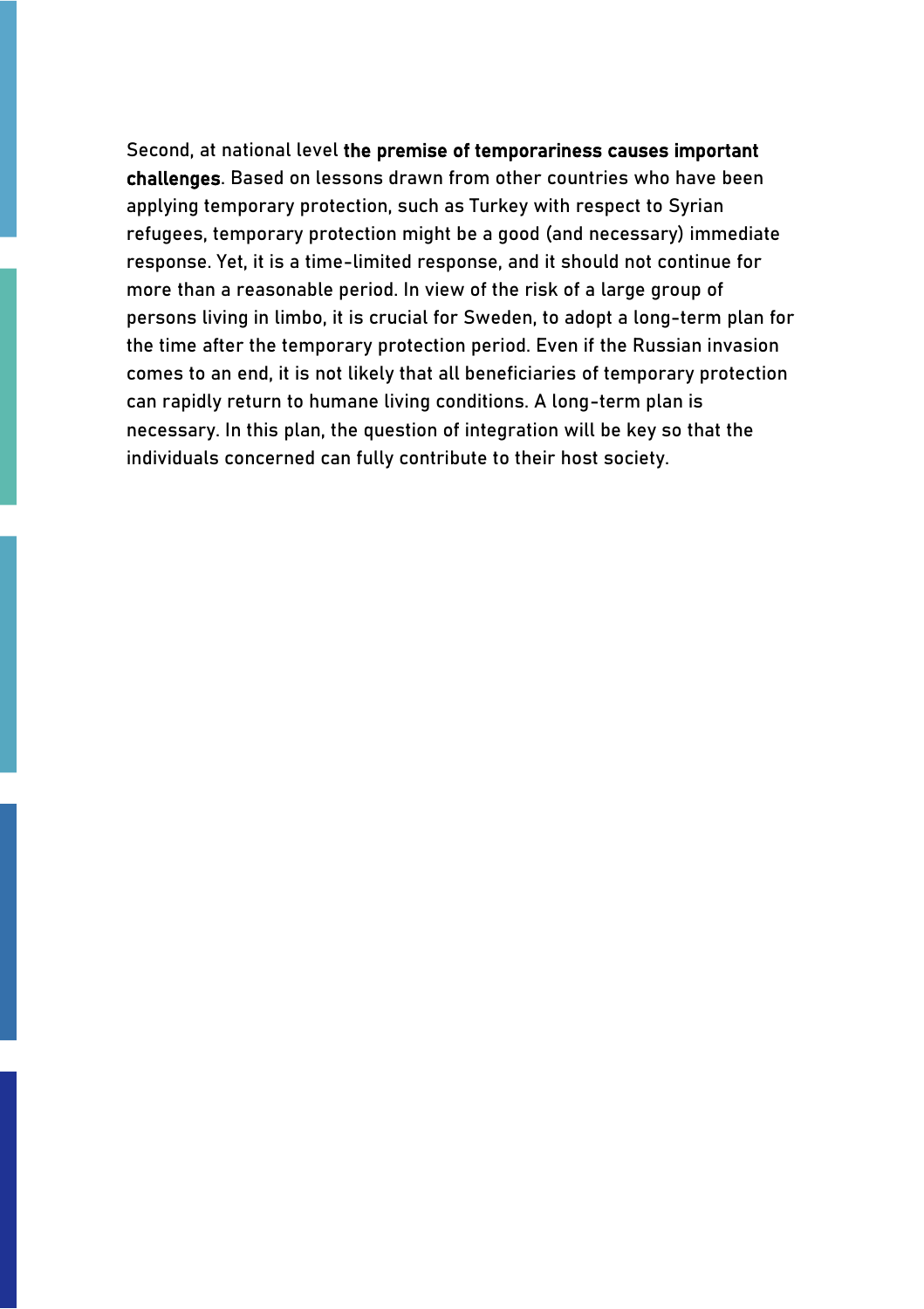Second, at national level the premise of temporariness causes important challenges. Based on lessons drawn from other countries who have been applying temporary protection, such as Turkey with respect to Syrian refugees, temporary protection might be a good (and necessary) immediate response. Yet, it is a time-limited response, and it should not continue for more than a reasonable period. In view of the risk of a large group of persons living in limbo, it is crucial for Sweden, to adopt a long-term plan for the time after the temporary protection period. Even if the Russian invasion comes to an end, it is not likely that all beneficiaries of temporary protection can rapidly return to humane living conditions. A long-term plan is necessary. In this plan, the question of integration will be key so that the individuals concerned can fully contribute to their host society.